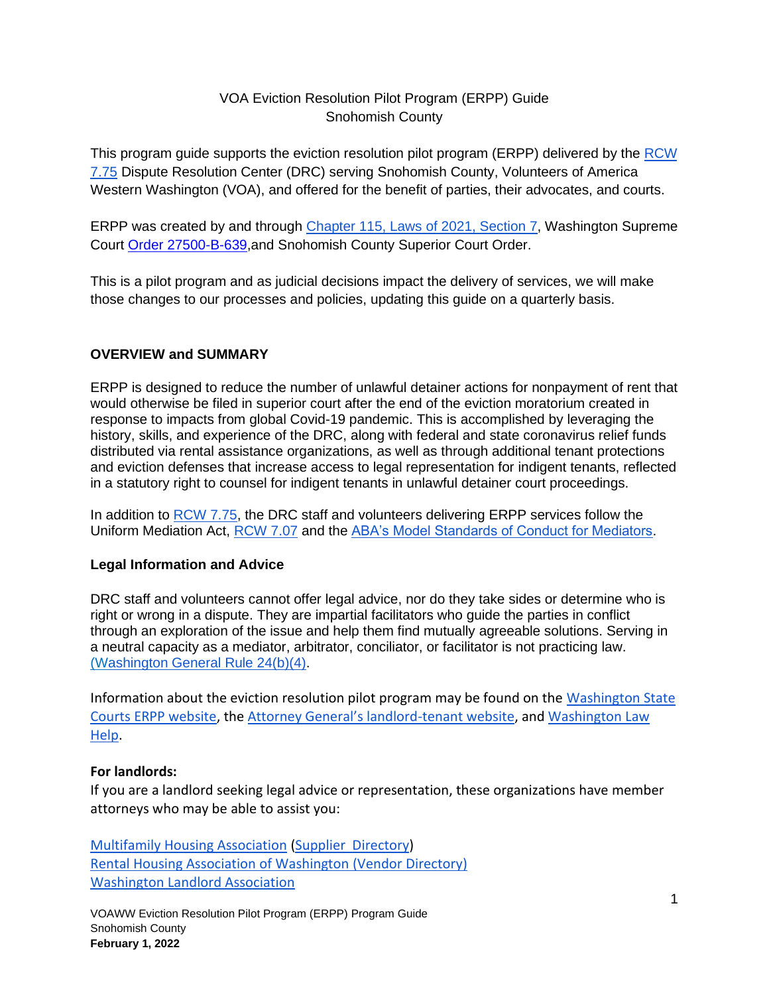### VOA Eviction Resolution Pilot Program (ERPP) Guide Snohomish County

This program guide supports the eviction resolution pilot program (ERPP) delivered by the [RCW](https://app.leg.wa.gov/rcw/default.aspx?cite=7.75&full=true)  [7.75](https://app.leg.wa.gov/rcw/default.aspx?cite=7.75&full=true) Dispute Resolution Center (DRC) serving Snohomish County, Volunteers of America Western Washington (VOA), and offered for the benefit of parties, their advocates, and courts.

ERPP was created by and through [Chapter 115, Laws of 2021, Section 7,](https://lawfilesext.leg.wa.gov/biennium/2021-22/Pdf/Bills/Session%20Laws/Senate/5160-S2.SL.pdf?q=20210930123212) Washington Supreme Court [Order 27500-B-639,](http://www.courts.wa.gov/content/publicUpload/Supreme%20Court%20Orders/EvictionsResolutionProgramAuthorizingOrder090920.pdf)and Snohomish County Superior Court Order.

This is a pilot program and as judicial decisions impact the delivery of services, we will make those changes to our processes and policies, updating this guide on a quarterly basis.

### **OVERVIEW and SUMMARY**

ERPP is designed to reduce the number of unlawful detainer actions for nonpayment of rent that would otherwise be filed in superior court after the end of the eviction moratorium created in response to impacts from global Covid-19 pandemic. This is accomplished by leveraging the history, skills, and experience of the DRC, along with federal and state coronavirus relief funds distributed via rental assistance organizations, as well as through additional tenant protections and eviction defenses that increase access to legal representation for indigent tenants, reflected in a statutory right to counsel for indigent tenants in unlawful detainer court proceedings.

In addition to [RCW 7.75,](https://app.leg.wa.gov/rcw/default.aspx?cite=7.75) the DRC staff and volunteers delivering ERPP services follow the Uniform Mediation Act, [RCW 7.07](https://app.leg.wa.gov/rcw/default.aspx?cite=7.07) and the [ABA's Model Standards of Conduct for Mediators.](https://www.americanbar.org/content/dam/aba/administrative/dispute_resolution/dispute_resolution/model_standards_conduct_april2007.pdf)

### **Legal Information and Advice**

DRC staff and volunteers cannot offer legal advice, nor do they take sides or determine who is right or wrong in a dispute. They are impartial facilitators who guide the parties in conflict through an exploration of the issue and help them find mutually agreeable solutions. Serving in a neutral capacity as a mediator, arbitrator, conciliator, or facilitator is not practicing law. ([Washington General Rule 24\(b\)\(4\).](https://www.courts.wa.gov/court_rules/pdf/GR/GA_GR_24_00_00.pdf)

Information about the eviction resolution pilot program may be found on the [Washington State](https://www.courts.wa.gov/newsinfo/index.cfm?fa=newsinfo.EvictionResolutionProgram)  [Courts ERPP website,](https://www.courts.wa.gov/newsinfo/index.cfm?fa=newsinfo.EvictionResolutionProgram) the [Attorney General's landlord](https://www.atg.wa.gov/landlord-tenant)-tenant website, and [Washington Law](https://www.washingtonlawhelp.org/resource/washington-state-new-2021-landlordtenant-legislation)  [Help.](https://www.washingtonlawhelp.org/resource/washington-state-new-2021-landlordtenant-legislation)

### **For landlords:**

If you are a landlord seeking legal advice or representation, these organizations have member attorneys who may be able to assist you:

[Multifamily Housing Association](https://www.wmfha.org/) (Supplier [Directory\)](https://www.wmfha.org/statewide-supplier-directory) [Rental Housing Association of Washington](https://www.rhawa.org/) [\(Vendor Directory\)](https://www.rhawa.org/vendor-directory/attorneys) [Washington Landlord Association](https://www.walandlord.org/)

VOAWW Eviction Resolution Pilot Program (ERPP) Program Guide Snohomish County **February 1, 2022**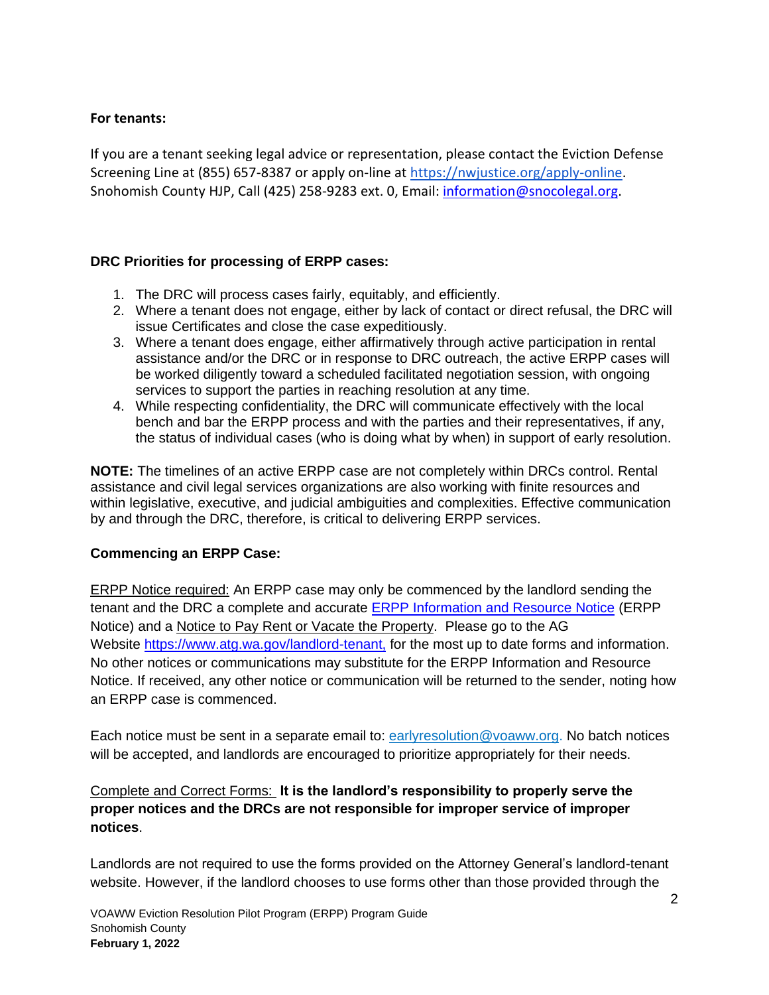#### **For tenants:**

If you are a tenant seeking legal advice or representation, please contact the Eviction Defense Screening Line at (855) 657-8387 or apply on-line at [https://nwjustice.org/apply-online.](https://nwjustice.org/apply-online) Snohomish County HJP, Call (425) 258-9283 ext. 0, Email: [information@snocolegal.org.](mailto:information@snocolegal.org)

### **DRC Priorities for processing of ERPP cases:**

- 1. The DRC will process cases fairly, equitably, and efficiently.
- 2. Where a tenant does not engage, either by lack of contact or direct refusal, the DRC will issue Certificates and close the case expeditiously.
- 3. Where a tenant does engage, either affirmatively through active participation in rental assistance and/or the DRC or in response to DRC outreach, the active ERPP cases will be worked diligently toward a scheduled facilitated negotiation session, with ongoing services to support the parties in reaching resolution at any time.
- 4. While respecting confidentiality, the DRC will communicate effectively with the local bench and bar the ERPP process and with the parties and their representatives, if any, the status of individual cases (who is doing what by when) in support of early resolution.

**NOTE:** The timelines of an active ERPP case are not completely within DRCs control. Rental assistance and civil legal services organizations are also working with finite resources and within legislative, executive, and judicial ambiguities and complexities. Effective communication by and through the DRC, therefore, is critical to delivering ERPP services.

### **Commencing an ERPP Case:**

ERPP Notice required: An ERPP case may only be commenced by the landlord sending the tenant and the DRC a complete and accurate **ERPP Information and Resource Notice** (ERPP Notice) and a Notice to Pay Rent or Vacate the Property. Please go to the AG Website [https://www.atg.wa.gov/landlord-tenant,](http://www.atg.wa.gov/landlord-tenant) for the most up to date forms and information. No other notices or communications may substitute for the ERPP Information and Resource Notice. If received, any other notice or communication will be returned to the sender, noting how an ERPP case is commenced.

Each notice must be sent in a separate email to: [earlyresolution@voaww.org.](mailto:earlyresolution@voaww.org) No batch notices will be accepted, and landlords are encouraged to prioritize appropriately for their needs.

## Complete and Correct Forms: **It is the landlord's responsibility to properly serve the proper notices and the DRCs are not responsible for improper service of improper notices**.

Landlords are not required to use the forms provided on the Attorney General's landlord-tenant website. However, if the landlord chooses to use forms other than those provided through the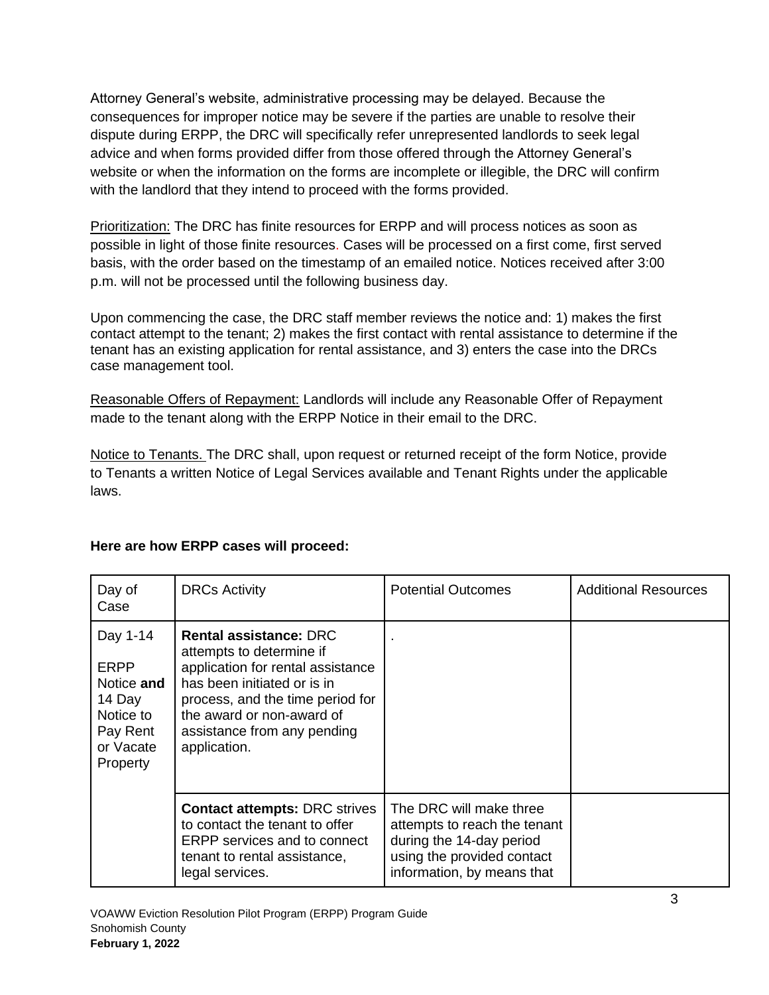Attorney General's website, administrative processing may be delayed. Because the consequences for improper notice may be severe if the parties are unable to resolve their dispute during ERPP, the DRC will specifically refer unrepresented landlords to seek legal advice and when forms provided differ from those offered through the Attorney General's website or when the information on the forms are incomplete or illegible, the DRC will confirm with the landlord that they intend to proceed with the forms provided.

Prioritization: The DRC has finite resources for ERPP and will process notices as soon as possible in light of those finite resources. Cases will be processed on a first come, first served basis, with the order based on the timestamp of an emailed notice. Notices received after 3:00 p.m. will not be processed until the following business day.

Upon commencing the case, the DRC staff member reviews the notice and: 1) makes the first contact attempt to the tenant; 2) makes the first contact with rental assistance to determine if the tenant has an existing application for rental assistance, and 3) enters the case into the DRCs case management tool.

Reasonable Offers of Repayment: Landlords will include any Reasonable Offer of Repayment made to the tenant along with the ERPP Notice in their email to the DRC.

Notice to Tenants. The DRC shall, upon request or returned receipt of the form Notice, provide to Tenants a written Notice of Legal Services available and Tenant Rights under the applicable laws.

| Day of<br>Case                                                                                    | <b>DRCs Activity</b>                                                                                                                                                                                                                          | <b>Potential Outcomes</b>                                                                                                                       | <b>Additional Resources</b> |
|---------------------------------------------------------------------------------------------------|-----------------------------------------------------------------------------------------------------------------------------------------------------------------------------------------------------------------------------------------------|-------------------------------------------------------------------------------------------------------------------------------------------------|-----------------------------|
| Day 1-14<br><b>ERPP</b><br>Notice and<br>14 Day<br>Notice to<br>Pay Rent<br>or Vacate<br>Property | <b>Rental assistance: DRC</b><br>attempts to determine if<br>application for rental assistance<br>has been initiated or is in<br>process, and the time period for<br>the award or non-award of<br>assistance from any pending<br>application. |                                                                                                                                                 |                             |
|                                                                                                   | <b>Contact attempts: DRC strives</b><br>to contact the tenant to offer<br><b>ERPP</b> services and to connect<br>tenant to rental assistance,<br>legal services.                                                                              | The DRC will make three<br>attempts to reach the tenant<br>during the 14-day period<br>using the provided contact<br>information, by means that |                             |

# **Here are how ERPP cases will proceed:**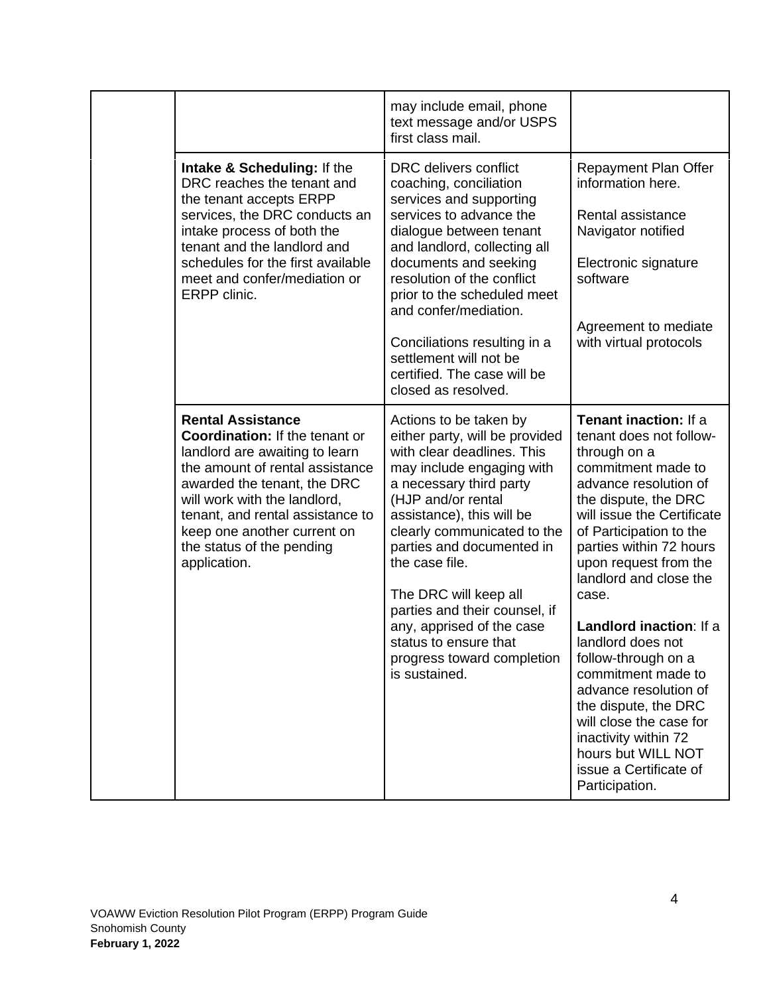|  |                                                                                                                                                                                                                                                                                                                       | may include email, phone<br>text message and/or USPS<br>first class mail.                                                                                                                                                                                                                                                                                                                                                                      |                                                                                                                                                                                                                                                                                                                                                                                                                                                                                                                                                            |
|--|-----------------------------------------------------------------------------------------------------------------------------------------------------------------------------------------------------------------------------------------------------------------------------------------------------------------------|------------------------------------------------------------------------------------------------------------------------------------------------------------------------------------------------------------------------------------------------------------------------------------------------------------------------------------------------------------------------------------------------------------------------------------------------|------------------------------------------------------------------------------------------------------------------------------------------------------------------------------------------------------------------------------------------------------------------------------------------------------------------------------------------------------------------------------------------------------------------------------------------------------------------------------------------------------------------------------------------------------------|
|  | Intake & Scheduling: If the<br>DRC reaches the tenant and<br>the tenant accepts ERPP<br>services, the DRC conducts an<br>intake process of both the<br>tenant and the landlord and<br>schedules for the first available<br>meet and confer/mediation or<br>ERPP clinic.                                               | <b>DRC</b> delivers conflict<br>coaching, conciliation<br>services and supporting<br>services to advance the<br>dialogue between tenant<br>and landlord, collecting all<br>documents and seeking<br>resolution of the conflict<br>prior to the scheduled meet<br>and confer/mediation.<br>Conciliations resulting in a<br>settlement will not be<br>certified. The case will be<br>closed as resolved.                                         | <b>Repayment Plan Offer</b><br>information here.<br>Rental assistance<br>Navigator notified<br>Electronic signature<br>software<br>Agreement to mediate<br>with virtual protocols                                                                                                                                                                                                                                                                                                                                                                          |
|  | <b>Rental Assistance</b><br><b>Coordination: If the tenant or</b><br>landlord are awaiting to learn<br>the amount of rental assistance<br>awarded the tenant, the DRC<br>will work with the landlord,<br>tenant, and rental assistance to<br>keep one another current on<br>the status of the pending<br>application. | Actions to be taken by<br>either party, will be provided<br>with clear deadlines. This<br>may include engaging with<br>a necessary third party<br>(HJP and/or rental<br>assistance), this will be<br>clearly communicated to the<br>parties and documented in<br>the case file.<br>The DRC will keep all<br>parties and their counsel, if<br>any, apprised of the case<br>status to ensure that<br>progress toward completion<br>is sustained. | Tenant inaction: If a<br>tenant does not follow-<br>through on a<br>commitment made to<br>advance resolution of<br>the dispute, the DRC<br>will issue the Certificate<br>of Participation to the<br>parties within 72 hours<br>upon request from the<br>landlord and close the<br>case.<br>Landlord inaction: If a<br>landlord does not<br>follow-through on a<br>commitment made to<br>advance resolution of<br>the dispute, the DRC<br>will close the case for<br>inactivity within 72<br>hours but WILL NOT<br>issue a Certificate of<br>Participation. |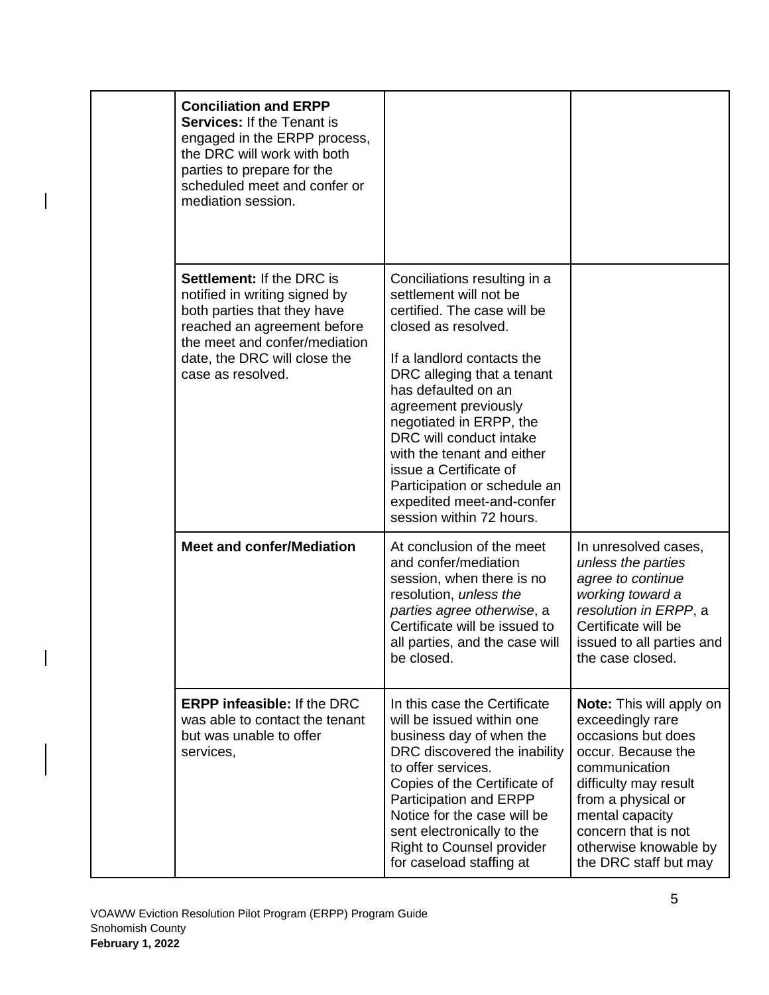|  | <b>Conciliation and ERPP</b><br><b>Services: If the Tenant is</b><br>engaged in the ERPP process,<br>the DRC will work with both<br>parties to prepare for the<br>scheduled meet and confer or<br>mediation session.  |                                                                                                                                                                                                                                                                                                                                                                                                                                |                                                                                                                                                                                                                                                             |
|--|-----------------------------------------------------------------------------------------------------------------------------------------------------------------------------------------------------------------------|--------------------------------------------------------------------------------------------------------------------------------------------------------------------------------------------------------------------------------------------------------------------------------------------------------------------------------------------------------------------------------------------------------------------------------|-------------------------------------------------------------------------------------------------------------------------------------------------------------------------------------------------------------------------------------------------------------|
|  | <b>Settlement: If the DRC is</b><br>notified in writing signed by<br>both parties that they have<br>reached an agreement before<br>the meet and confer/mediation<br>date, the DRC will close the<br>case as resolved. | Conciliations resulting in a<br>settlement will not be<br>certified. The case will be<br>closed as resolved.<br>If a landlord contacts the<br>DRC alleging that a tenant<br>has defaulted on an<br>agreement previously<br>negotiated in ERPP, the<br>DRC will conduct intake<br>with the tenant and either<br>issue a Certificate of<br>Participation or schedule an<br>expedited meet-and-confer<br>session within 72 hours. |                                                                                                                                                                                                                                                             |
|  | <b>Meet and confer/Mediation</b>                                                                                                                                                                                      | At conclusion of the meet<br>and confer/mediation<br>session, when there is no<br>resolution, unless the<br>parties agree otherwise, a<br>Certificate will be issued to<br>all parties, and the case will<br>be closed.                                                                                                                                                                                                        | In unresolved cases,<br>unless the parties<br>agree to continue<br>working toward a<br>resolution in ERPP, a<br>Certificate will be<br>issued to all parties and<br>the case closed.                                                                        |
|  | <b>ERPP infeasible: If the DRC</b><br>was able to contact the tenant<br>but was unable to offer<br>services,                                                                                                          | In this case the Certificate<br>will be issued within one<br>business day of when the<br>DRC discovered the inability<br>to offer services.<br>Copies of the Certificate of<br>Participation and ERPP<br>Notice for the case will be<br>sent electronically to the<br><b>Right to Counsel provider</b><br>for caseload staffing at                                                                                             | <b>Note:</b> This will apply on<br>exceedingly rare<br>occasions but does<br>occur. Because the<br>communication<br>difficulty may result<br>from a physical or<br>mental capacity<br>concern that is not<br>otherwise knowable by<br>the DRC staff but may |

 $\overline{\phantom{a}}$ 

 $\overline{\phantom{a}}$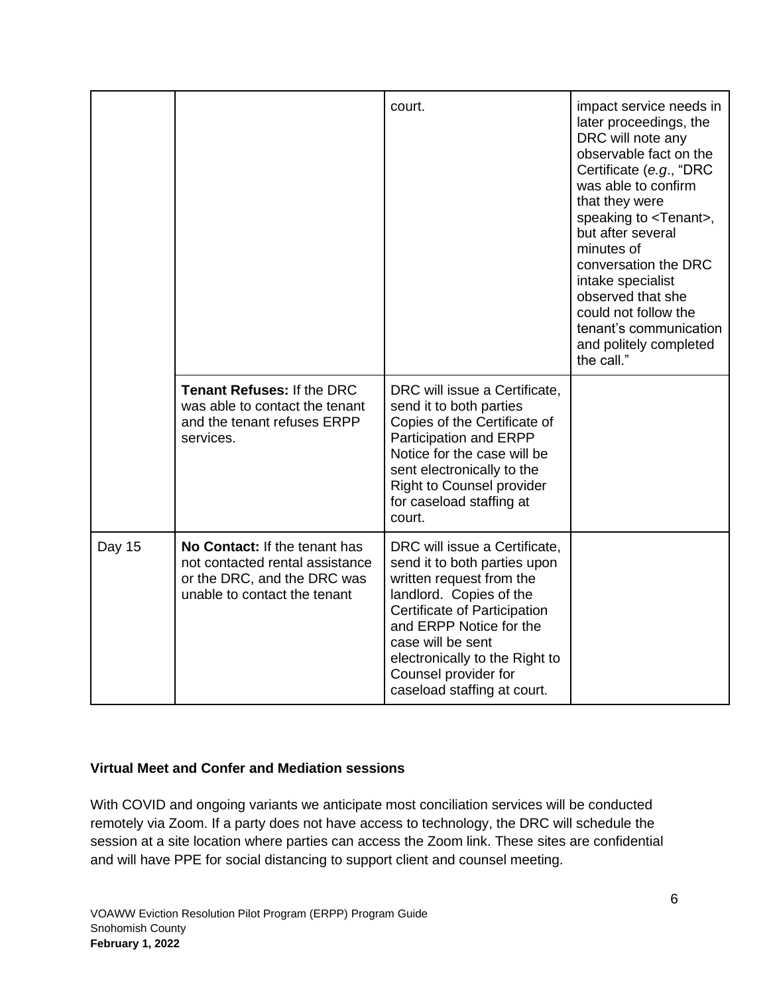|        |                                                                                                                                 | court.                                                                                                                                                                                                                                                                                        | impact service needs in<br>later proceedings, the<br>DRC will note any<br>observable fact on the<br>Certificate (e.g., "DRC<br>was able to confirm<br>that they were<br>speaking to <tenant>,<br/>but after several<br/>minutes of<br/>conversation the DRC<br/>intake specialist<br/>observed that she<br/>could not follow the<br/>tenant's communication<br/>and politely completed<br/>the call."</tenant> |
|--------|---------------------------------------------------------------------------------------------------------------------------------|-----------------------------------------------------------------------------------------------------------------------------------------------------------------------------------------------------------------------------------------------------------------------------------------------|----------------------------------------------------------------------------------------------------------------------------------------------------------------------------------------------------------------------------------------------------------------------------------------------------------------------------------------------------------------------------------------------------------------|
|        | <b>Tenant Refuses: If the DRC</b><br>was able to contact the tenant<br>and the tenant refuses ERPP<br>services.                 | DRC will issue a Certificate,<br>send it to both parties<br>Copies of the Certificate of<br>Participation and ERPP<br>Notice for the case will be<br>sent electronically to the<br><b>Right to Counsel provider</b><br>for caseload staffing at<br>court.                                     |                                                                                                                                                                                                                                                                                                                                                                                                                |
| Day 15 | No Contact: If the tenant has<br>not contacted rental assistance<br>or the DRC, and the DRC was<br>unable to contact the tenant | DRC will issue a Certificate,<br>send it to both parties upon<br>written request from the<br>landlord. Copies of the<br>Certificate of Participation<br>and ERPP Notice for the<br>case will be sent<br>electronically to the Right to<br>Counsel provider for<br>caseload staffing at court. |                                                                                                                                                                                                                                                                                                                                                                                                                |

#### **Virtual Meet and Confer and Mediation sessions**

With COVID and ongoing variants we anticipate most conciliation services will be conducted remotely via Zoom. If a party does not have access to technology, the DRC will schedule the session at a site location where parties can access the Zoom link. These sites are confidential and will have PPE for social distancing to support client and counsel meeting.